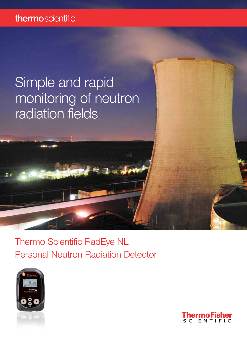### thermoscientific

## Simple and rapid monitoring of neutron radiation fields

Thermo Scientific RadEye NL Personal Neutron Radiation Detector



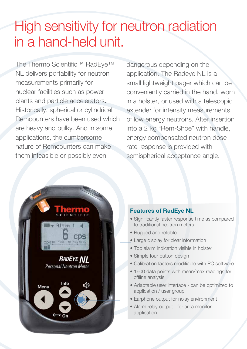# High sensitivity for neutron radiation in a hand-held unit.

The Thermo Scientific™ RadEye™ NL delivers portability for neutron measurements primarily for nuclear facilities such as power plants and particle accelerators. Historically, spherical or cylindrical Remcounters have been used which are heavy and bulky. And in some applications, the cumbersome nature of Remcounters can make them infeasible or possibly even

dangerous depending on the application. The Radeye NL is a small lightweight pager which can be conveniently carried in the hand, worn in a holster, or used with a telescopic extender for intensity measurements of low energy neutrons. After insertion into a 2 kg "Rem-Shoe" with handle, energy compensated neutron dose rate response is provided with semispherical acceptance angle.



#### Features of RadEye NL

- Significantly faster response time as compared to traditional neutron meters
- Rugged and reliable
- Large display for clear information
- Top alarm indication visible in holster
- Simple four button design
- Calibration factors modifiable with PC software
- 1600 data points with mean/max readings for offline analysis
- Adaptable user interface can be optimized to application / user group
- Earphone output for noisy environment
- Alarm relay output for area monitor application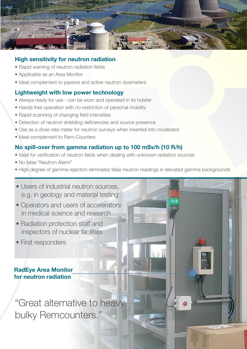

#### High sensitivity for neutron radiation

- Rapid warning of neutron radiation fields
- Applicable as an Area Monitor
- Ideal complement to passive and active neutron dosimeters

#### Lightweight with low power technology

- Always ready for use can be worn and operated in its holster
- Hands free operation with no restriction of personal mobility
- Rapid scanning of changing field intensities
- Detection of neutron shielding deficiencies and source presence
- Use as a dose rate meter for neutron surveys when inserted into moderator
- Ideal complement to Rem-Counters

#### No spill-over from gamma radiation up to 100 mSv/h (10 R/h)

- Ideal for verification of neutron fields when dealing with unknown radiation sources
- No false "Neutron Alarm"
- High degree of gamma rejection eliminates false neutron readings in elevated gamma backgrounds

• Users of industrial neutron sources, e.g. in geology and material testing

- Operators and users of accelerators in medical science and research
- Radiation protection staff and inspectors of nuclear facilities
- First responders

RadEye Area Monitor for neutron radiation

"Great alternative to heavy, bulky Remcounters.